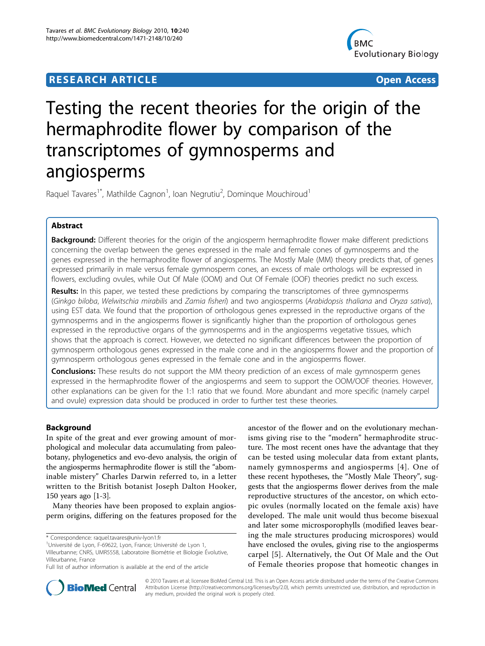# **RESEARCH ARTICLE Example 2018 CONSUMING ACCESS**



# Testing the recent theories for the origin of the hermaphrodite flower by comparison of the transcriptomes of gymnosperms and angiosperms

Raquel Tavares<sup>1\*</sup>, Mathilde Cagnon<sup>1</sup>, Ioan Negrutiu<sup>2</sup>, Dominque Mouchiroud<sup>1</sup>

# Abstract

**Background:** Different theories for the origin of the angiosperm hermaphrodite flower make different predictions concerning the overlap between the genes expressed in the male and female cones of gymnosperms and the genes expressed in the hermaphrodite flower of angiosperms. The Mostly Male (MM) theory predicts that, of genes expressed primarily in male versus female gymnosperm cones, an excess of male orthologs will be expressed in flowers, excluding ovules, while Out Of Male (OOM) and Out Of Female (OOF) theories predict no such excess.

Results: In this paper, we tested these predictions by comparing the transcriptomes of three gymnosperms (Ginkgo biloba, Welwitschia mirabilis and Zamia fisheri) and two angiosperms (Arabidopsis thaliana and Oryza sativa), using EST data. We found that the proportion of orthologous genes expressed in the reproductive organs of the gymnosperms and in the angiosperms flower is significantly higher than the proportion of orthologous genes expressed in the reproductive organs of the gymnosperms and in the angiosperms vegetative tissues, which shows that the approach is correct. However, we detected no significant differences between the proportion of gymnosperm orthologous genes expressed in the male cone and in the angiosperms flower and the proportion of gymnosperm orthologous genes expressed in the female cone and in the angiosperms flower.

**Conclusions:** These results do not support the MM theory prediction of an excess of male gymnosperm genes expressed in the hermaphrodite flower of the angiosperms and seem to support the OOM/OOF theories. However, other explanations can be given for the 1:1 ratio that we found. More abundant and more specific (namely carpel and ovule) expression data should be produced in order to further test these theories.

# Background

In spite of the great and ever growing amount of morphological and molecular data accumulating from paleobotany, phylogenetics and evo-devo analysis, the origin of the angiosperms hermaphrodite flower is still the "abominable mistery" Charles Darwin referred to, in a letter written to the British botanist Joseph Dalton Hooker, 150 years ago [[1-3\]](#page-5-0).

Many theories have been proposed to explain angiosperm origins, differing on the features proposed for the

ancestor of the flower and on the evolutionary mechanisms giving rise to the "modern" hermaphrodite structure. The most recent ones have the advantage that they can be tested using molecular data from extant plants, namely gymnosperms and angiosperms [\[4\]](#page-5-0). One of these recent hypotheses, the "Mostly Male Theory", suggests that the angiosperms flower derives from the male reproductive structures of the ancestor, on which ectopic ovules (normally located on the female axis) have developed. The male unit would thus become bisexual and later some microsporophylls (modified leaves bearing the male structures producing microspores) would have enclosed the ovules, giving rise to the angiosperms carpel [[5](#page-5-0)]. Alternatively, the Out Of Male and the Out of Female theories propose that homeotic changes in



© 2010 Tavares et al; licensee BioMed Central Ltd. This is an Open Access article distributed under the terms of the Creative Commons Attribution License [\(http://creativecommons.org/licenses/by/2.0](http://creativecommons.org/licenses/by/2.0)), which permits unrestricted use, distribution, and reproduction in any medium, provided the original work is properly cited.

<sup>\*</sup> Correspondence: [raquel.tavares@univ-lyon1.fr](mailto:raquel.tavares@univ-lyon1.fr)

<sup>&</sup>lt;sup>1</sup>Université de Lyon, F-69622, Lyon, France; Université de Lyon 1, Villeurbanne; CNRS, UMR5558, Laboratoire Biométrie et Biologie Évolutive, Villeurbanne, France

Full list of author information is available at the end of the article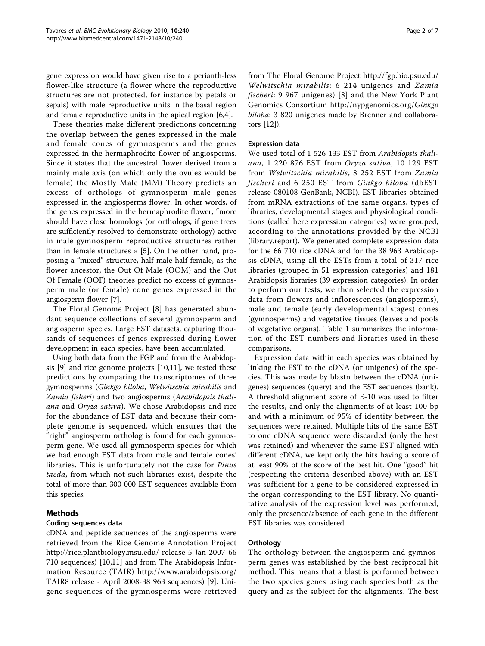gene expression would have given rise to a perianth-less flower-like structure (a flower where the reproductive structures are not protected, for instance by petals or sepals) with male reproductive units in the basal region and female reproductive units in the apical region [[6,4\]](#page-5-0).

These theories make different predictions concerning the overlap between the genes expressed in the male and female cones of gymnosperms and the genes expressed in the hermaphrodite flower of angiosperms. Since it states that the ancestral flower derived from a mainly male axis (on which only the ovules would be female) the Mostly Male (MM) Theory predicts an excess of orthologs of gymnosperm male genes expressed in the angiosperms flower. In other words, of the genes expressed in the hermaphrodite flower, "more should have close homologs (or orthologs, if gene trees are sufficiently resolved to demonstrate orthology) active in male gymnosperm reproductive structures rather than in female structures » [[5\]](#page-5-0). On the other hand, proposing a "mixed" structure, half male half female, as the flower ancestor, the Out Of Male (OOM) and the Out Of Female (OOF) theories predict no excess of gymnosperm male (or female) cone genes expressed in the angiosperm flower [[7\]](#page-5-0).

The Floral Genome Project [[8\]](#page-5-0) has generated abundant sequence collections of several gymnosperm and angiosperm species. Large EST datasets, capturing thousands of sequences of genes expressed during flower development in each species, have been accumulated.

Using both data from the FGP and from the Arabidopsis [\[9](#page-6-0)] and rice genome projects [[10](#page-6-0),[11](#page-6-0)], we tested these predictions by comparing the transcriptomes of three gymnosperms (Ginkgo biloba, Welwitschia mirabilis and Zamia fisheri) and two angiosperms (Arabidopsis thaliana and Oryza sativa). We chose Arabidopsis and rice for the abundance of EST data and because their complete genome is sequenced, which ensures that the "right" angiosperm ortholog is found for each gymnosperm gene. We used all gymnosperm species for which we had enough EST data from male and female cones' libraries. This is unfortunately not the case for Pinus taeda, from which not such libraries exist, despite the total of more than 300 000 EST sequences available from this species.

# Methods

# Coding sequences data

cDNA and peptide sequences of the angiosperms were retrieved from the Rice Genome Annotation Project <http://rice.plantbiology.msu.edu/> release 5-Jan 2007-66 710 sequences) [[10](#page-6-0),[11](#page-6-0)] and from The Arabidopsis Information Resource (TAIR)<http://www.arabidopsis.org/> TAIR8 release - April 2008-38 963 sequences) [[9\]](#page-6-0). Unigene sequences of the gymnosperms were retrieved from The Floral Genome Project<http://fgp.bio.psu.edu/> Welwitschia mirabilis: 6 214 unigenes and Zamia fischeri: 9 967 unigenes) [[8](#page-5-0)] and the New York Plant Genomics Consortium<http://nypgenomics.org/>Ginkgo biloba: 3 820 unigenes made by Brenner and collaborators [[12\]](#page-6-0)).

#### Expression data

We used total of 1 526 133 EST from Arabidopsis thaliana, 1 220 876 EST from Oryza sativa, 10 129 EST from Welwitschia mirabilis, 8 252 EST from Zamia fischeri and 6 250 EST from Ginkgo biloba (dbEST release 080108 GenBank, NCBI). EST libraries obtained from mRNA extractions of the same organs, types of libraries, developmental stages and physiological conditions (called here expression categories) were grouped, according to the annotations provided by the NCBI (library.report). We generated complete expression data for the 66 710 rice cDNA and for the 38 963 Arabidopsis cDNA, using all the ESTs from a total of 317 rice libraries (grouped in 51 expression categories) and 181 Arabidopsis libraries (39 expression categories). In order to perform our tests, we then selected the expression data from flowers and inflorescences (angiosperms), male and female (early developmental stages) cones (gymnosperms) and vegetative tissues (leaves and pools of vegetative organs). Table [1](#page-2-0) summarizes the information of the EST numbers and libraries used in these comparisons.

Expression data within each species was obtained by linking the EST to the cDNA (or unigenes) of the species. This was made by blastn between the cDNA (unigenes) sequences (query) and the EST sequences (bank). A threshold alignment score of E-10 was used to filter the results, and only the alignments of at least 100 bp and with a minimum of 95% of identity between the sequences were retained. Multiple hits of the same EST to one cDNA sequence were discarded (only the best was retained) and whenever the same EST aligned with different cDNA, we kept only the hits having a score of at least 90% of the score of the best hit. One "good" hit (respecting the criteria described above) with an EST was sufficient for a gene to be considered expressed in the organ corresponding to the EST library. No quantitative analysis of the expression level was performed, only the presence/absence of each gene in the different EST libraries was considered.

# **Orthology**

The orthology between the angiosperm and gymnosperm genes was established by the best reciprocal hit method. This means that a blast is performed between the two species genes using each species both as the query and as the subject for the alignments. The best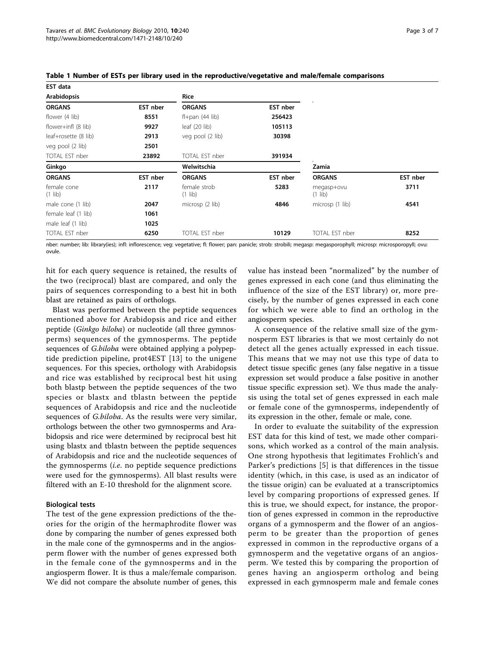| EST data                 |                 |                           |                 |                         |          |
|--------------------------|-----------------|---------------------------|-----------------|-------------------------|----------|
| Arabidopsis              |                 | Rice                      |                 |                         |          |
| <b>ORGANS</b>            | <b>EST nber</b> | <b>ORGANS</b>             | EST nber        |                         |          |
| flower (4 lib)           | 8551            | $fl+pan$ (44 lib)         | 256423          |                         |          |
| flower+infl $(8$ lib)    | 9927            | leaf(20 lib)              | 105113          |                         |          |
| leaf+rosette (8 lib)     | 2913            | veg pool (2 lib)          | 30398           |                         |          |
| veg pool (2 lib)         | 2501            |                           |                 |                         |          |
| TOTAL EST nber           | 23892           | TOTAL EST nber            | 391934          |                         |          |
| Ginkgo                   |                 | Welwitschia               |                 | Zamia                   |          |
| <b>ORGANS</b>            | EST nber        | <b>ORGANS</b>             | <b>EST nber</b> | <b>ORGANS</b>           | EST nber |
| female cone<br>$(1$ lib) | 2117            | female strob<br>$(1$ lib) | 5283            | megasp+ovu<br>$(1$ lib) | 3711     |
| male cone (1 lib)        | 2047            | microsp (2 lib)           | 4846            | microsp (1 lib)         | 4541     |
| female leaf (1 lib)      | 1061            |                           |                 |                         |          |
| male leaf (1 lib)        | 1025            |                           |                 |                         |          |
| TOTAL EST nber           | 6250            | TOTAL EST nber            | 10129           | TOTAL EST nber          | 8252     |

<span id="page-2-0"></span>Table 1 Number of ESTs per library used in the reproductive/vegetative and male/female comparisons

nber: number; lib: library(ies); infl: inflorescence; veg: vegetative; fl: flower; pan: panicle; strob: strobili; megasp: megasporophyll; microsp: microsporopyll; ovu: ovule.

hit for each query sequence is retained, the results of the two (reciprocal) blast are compared, and only the pairs of sequences corresponding to a best hit in both blast are retained as pairs of orthologs.

Blast was performed between the peptide sequences mentioned above for Arabidopsis and rice and either peptide (Ginkgo biloba) or nucleotide (all three gymnosperms) sequences of the gymnosperms. The peptide sequences of *G.biloba* were obtained applying a polypeptide prediction pipeline, prot4EST [[13](#page-6-0)] to the unigene sequences. For this species, orthology with Arabidopsis and rice was established by reciprocal best hit using both blastp between the peptide sequences of the two species or blastx and tblastn between the peptide sequences of Arabidopsis and rice and the nucleotide sequences of *G.biloba*. As the results were very similar, orthologs between the other two gymnosperms and Arabidopsis and rice were determined by reciprocal best hit using blastx and tblastn between the peptide sequences of Arabidopsis and rice and the nucleotide sequences of the gymnosperms  $(i.e.$  no peptide sequence predictions were used for the gymnosperms). All blast results were filtered with an E-10 threshold for the alignment score.

#### Biological tests

The test of the gene expression predictions of the theories for the origin of the hermaphrodite flower was done by comparing the number of genes expressed both in the male cone of the gymnosperms and in the angiosperm flower with the number of genes expressed both in the female cone of the gymnosperms and in the angiosperm flower. It is thus a male/female comparison. We did not compare the absolute number of genes, this value has instead been "normalized" by the number of genes expressed in each cone (and thus eliminating the influence of the size of the EST library) or, more precisely, by the number of genes expressed in each cone for which we were able to find an ortholog in the angiosperm species.

A consequence of the relative small size of the gymnosperm EST libraries is that we most certainly do not detect all the genes actually expressed in each tissue. This means that we may not use this type of data to detect tissue specific genes (any false negative in a tissue expression set would produce a false positive in another tissue specific expression set). We thus made the analysis using the total set of genes expressed in each male or female cone of the gymnosperms, independently of its expression in the other, female or male, cone.

In order to evaluate the suitability of the expression EST data for this kind of test, we made other comparisons, which worked as a control of the main analysis. One strong hypothesis that legitimates Frohlich's and Parker's predictions [\[5](#page-5-0)] is that differences in the tissue identity (which, in this case, is used as an indicator of the tissue origin) can be evaluated at a transcriptomics level by comparing proportions of expressed genes. If this is true, we should expect, for instance, the proportion of genes expressed in common in the reproductive organs of a gymnosperm and the flower of an angiosperm to be greater than the proportion of genes expressed in common in the reproductive organs of a gymnosperm and the vegetative organs of an angiosperm. We tested this by comparing the proportion of genes having an angiosperm ortholog and being expressed in each gymnosperm male and female cones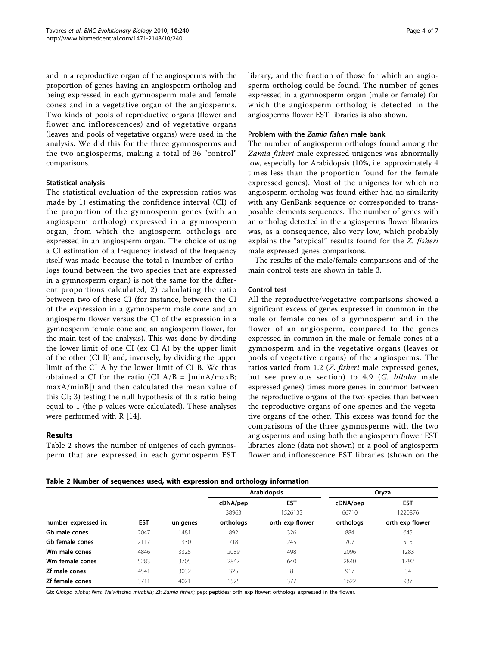and in a reproductive organ of the angiosperms with the proportion of genes having an angiosperm ortholog and being expressed in each gymnosperm male and female cones and in a vegetative organ of the angiosperms. Two kinds of pools of reproductive organs (flower and flower and inflorescences) and of vegetative organs (leaves and pools of vegetative organs) were used in the analysis. We did this for the three gymnosperms and the two angiosperms, making a total of 36 "control" comparisons.

#### Statistical analysis

The statistical evaluation of the expression ratios was made by 1) estimating the confidence interval (CI) of the proportion of the gymnosperm genes (with an angiosperm ortholog) expressed in a gymnosperm organ, from which the angiosperm orthologs are expressed in an angiosperm organ. The choice of using a CI estimation of a frequency instead of the frequency itself was made because the total n (number of orthologs found between the two species that are expressed in a gymnosperm organ) is not the same for the different proportions calculated; 2) calculating the ratio between two of these CI (for instance, between the CI of the expression in a gymnosperm male cone and an angiosperm flower versus the CI of the expression in a gymnosperm female cone and an angiosperm flower, for the main test of the analysis). This was done by dividing the lower limit of one CI (ex CI A) by the upper limit of the other (CI B) and, inversely, by dividing the upper limit of the CI A by the lower limit of CI B. We thus obtained a CI for the ratio (CI  $A/B = |minA/maxB;$ maxA/minB[) and then calculated the mean value of this CI; 3) testing the null hypothesis of this ratio being equal to 1 (the p-values were calculated). These analyses were performed with R [\[14](#page-6-0)].

# Results

Table 2 shows the number of unigenes of each gymnosperm that are expressed in each gymnosperm EST library, and the fraction of those for which an angiosperm ortholog could be found. The number of genes expressed in a gymnosperm organ (male or female) for which the angiosperm ortholog is detected in the angiosperms flower EST libraries is also shown.

#### Problem with the Zamia fisheri male bank

The number of angiosperm orthologs found among the Zamia fisheri male expressed unigenes was abnormally low, especially for Arabidopsis (10%, i.e. approximately 4 times less than the proportion found for the female expressed genes). Most of the unigenes for which no angiosperm ortholog was found either had no similarity with any GenBank sequence or corresponded to transposable elements sequences. The number of genes with an ortholog detected in the angiosperms flower libraries was, as a consequence, also very low, which probably explains the "atypical" results found for the Z. fisheri male expressed genes comparisons.

The results of the male/female comparisons and of the main control tests are shown in table [3.](#page-4-0)

# Control test

All the reproductive/vegetative comparisons showed a significant excess of genes expressed in common in the male or female cones of a gymnosperm and in the flower of an angiosperm, compared to the genes expressed in common in the male or female cones of a gymnosperm and in the vegetative organs (leaves or pools of vegetative organs) of the angiosperms. The ratios varied from 1.2 (Z. fisheri male expressed genes, but see previous section) to 4.9 (G. biloba male expressed genes) times more genes in common between the reproductive organs of the two species than between the reproductive organs of one species and the vegetative organs of the other. This excess was found for the comparisons of the three gymnosperms with the two angiosperms and using both the angiosperm flower EST libraries alone (data not shown) or a pool of angiosperm flower and inflorescence EST libraries (shown on the

#### Table 2 Number of sequences used, with expression and orthology information

|                        |      |          |                    | --              |           |                 |
|------------------------|------|----------|--------------------|-----------------|-----------|-----------------|
|                        |      |          | <b>Arabidopsis</b> |                 | Oryza     |                 |
|                        |      |          | cDNA/pep           | <b>EST</b>      | cDNA/pep  | <b>EST</b>      |
|                        |      |          | 38963              | 1526133         | 66710     | 1220876         |
| number expressed in:   | EST  | unigenes | orthologs          | orth exp flower | orthologs | orth exp flower |
| Gb male cones          | 2047 | 1481     | 892                | 326             | 884       | 645             |
| Gb female cones        | 2117 | 1330     | 718                | 245             | 707       | 515             |
| Wm male cones          | 4846 | 3325     | 2089               | 498             | 2096      | 1283            |
| Wm female cones        | 5283 | 3705     | 2847               | 640             | 2840      | 1792            |
| Zf male cones          | 4541 | 3032     | 325                | 8               | 917       | 34              |
| <b>Zf female cones</b> | 3711 | 4021     | 1525               | 377             | 1622      | 937             |

Gb: Ginkgo biloba; Wm: Welwitschia mirabilis; Zf: Zamia fisheri; pep: peptides; orth exp flower: orthologs expressed in the flower.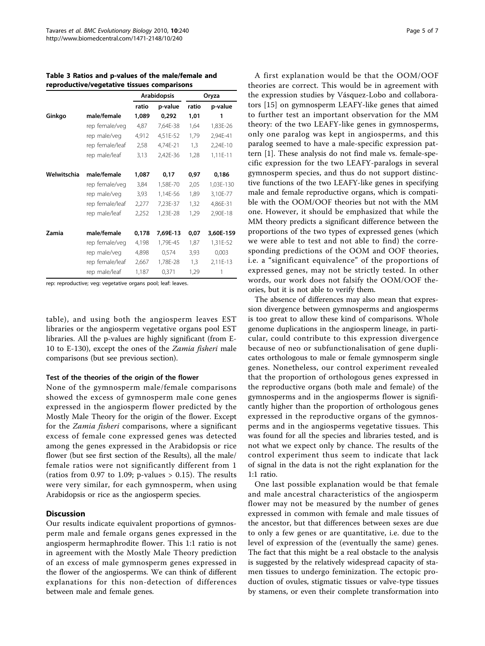|             |                 |       | <b>Arabidopsis</b> | Oryza |           |
|-------------|-----------------|-------|--------------------|-------|-----------|
|             |                 | ratio | p-value            | ratio | p-value   |
| Ginkgo      | male/female     | 1,089 | 0,292              | 1,01  | 1         |
|             | rep female/veg  | 4,87  | 7,64E-38           | 1,64  | 1,83E-26  |
|             | rep male/veg    | 4,912 | 4,51E-52           | 1,79  | 2,94E-41  |
|             | rep female/leaf | 2,58  | 4,74E-21           | 1,3   | 2,24E-10  |
|             | rep male/leaf   | 3,13  | 2,42E-36           | 1,28  | 1,11E-11  |
| Welwitschia | male/female     | 1,087 | 0,17               | 0,97  | 0,186     |
|             | rep female/veg  | 3,84  | 1,58E-70           | 2,05  | 1,03E-130 |
|             | rep male/veg    | 3,93  | 1,14E-56           | 1,89  | 3,10E-77  |
|             | rep female/leaf | 2,277 | 7,23E-37           | 1,32  | 4,86E-31  |
|             | rep male/leaf   | 2,252 | 1,23E-28           | 1,29  | 2,90E-18  |
| Zamia       | male/female     | 0,178 | 7,69E-13           | 0,07  | 3,60E-159 |
|             | rep female/veg  | 4,198 | 1,79E-45           | 1,87  | 1,31E-52  |
|             | rep male/veg    | 4,898 | 0,574              | 3,93  | 0,003     |
|             | rep female/leaf | 2,667 | 1,78E-28           | 1,3   | 2,11E-13  |
|             | rep male/leaf   | 1,187 | 0,371              | 1,29  | 1         |

<span id="page-4-0"></span>Table 3 Ratios and p-values of the male/female and reproductive/vegetative tissues comparisons

rep: reproductive; veg: vegetative organs pool; leaf: leaves.

table), and using both the angiosperm leaves EST libraries or the angiosperm vegetative organs pool EST libraries. All the p-values are highly significant (from E-10 to E-130), except the ones of the Zamia fisheri male comparisons (but see previous section).

# Test of the theories of the origin of the flower

None of the gymnosperm male/female comparisons showed the excess of gymnosperm male cone genes expressed in the angiosperm flower predicted by the Mostly Male Theory for the origin of the flower. Except for the Zamia fisheri comparisons, where a significant excess of female cone expressed genes was detected among the genes expressed in the Arabidopsis or rice flower (but see first section of the Results), all the male/ female ratios were not significantly different from 1 (ratios from 0.97 to 1.09; p-values  $> 0.15$ ). The results were very similar, for each gymnosperm, when using Arabidopsis or rice as the angiosperm species.

# **Discussion**

Our results indicate equivalent proportions of gymnosperm male and female organs genes expressed in the angiosperm hermaphrodite flower. This 1:1 ratio is not in agreement with the Mostly Male Theory prediction of an excess of male gymnosperm genes expressed in the flower of the angiosperms. We can think of different explanations for this non-detection of differences between male and female genes.

A first explanation would be that the OOM/OOF theories are correct. This would be in agreement with the expression studies by Vásquez-Lobo and collaborators [[15](#page-6-0)] on gymnosperm LEAFY-like genes that aimed to further test an important observation for the MM theory: of the two LEAFY-like genes in gymnosperms, only one paralog was kept in angiosperms, and this paralog seemed to have a male-specific expression pattern [[1\]](#page-5-0). These analysis do not find male vs. female-specific expression for the two LEAFY-paralogs in several gymnosperm species, and thus do not support distinctive functions of the two LEAFY-like genes in specifying male and female reproductive organs, which is compatible with the OOM/OOF theories but not with the MM one. However, it should be emphasized that while the MM theory predicts a significant difference between the proportions of the two types of expressed genes (which we were able to test and not able to find) the corresponding predictions of the OOM and OOF theories, i.e. a "significant equivalence" of the proportions of expressed genes, may not be strictly tested. In other words, our work does not falsify the OOM/OOF theories, but it is not able to verify them.

The absence of differences may also mean that expression divergence between gymnosperms and angiosperms is too great to allow these kind of comparisons. Whole genome duplications in the angiosperm lineage, in particular, could contribute to this expression divergence because of neo or subfunctionalisation of gene duplicates orthologous to male or female gymnosperm single genes. Nonetheless, our control experiment revealed that the proportion of orthologous genes expressed in the reproductive organs (both male and female) of the gymnosperms and in the angiosperms flower is significantly higher than the proportion of orthologous genes expressed in the reproductive organs of the gymnosperms and in the angiosperms vegetative tissues. This was found for all the species and libraries tested, and is not what we expect only by chance. The results of the control experiment thus seem to indicate that lack of signal in the data is not the right explanation for the 1:1 ratio.

One last possible explanation would be that female and male ancestral characteristics of the angiosperm flower may not be measured by the number of genes expressed in common with female and male tissues of the ancestor, but that differences between sexes are due to only a few genes or are quantitative, i.e. due to the level of expression of the (eventually the same) genes. The fact that this might be a real obstacle to the analysis is suggested by the relatively widespread capacity of stamen tissues to undergo feminization. The ectopic production of ovules, stigmatic tissues or valve-type tissues by stamens, or even their complete transformation into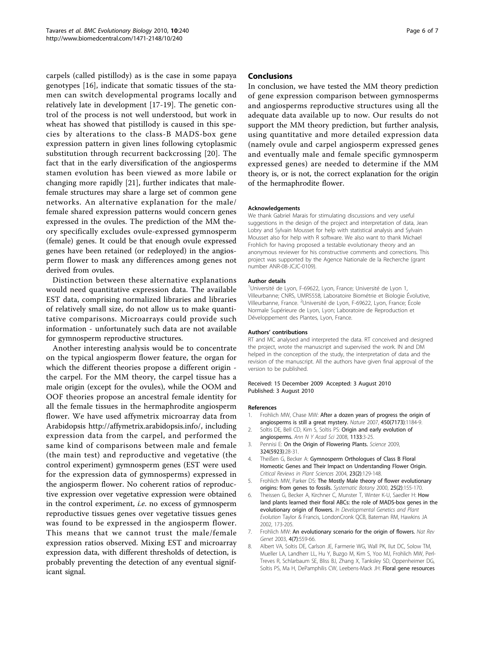<span id="page-5-0"></span>carpels (called pistillody) as is the case in some papaya genotypes [[16\]](#page-6-0), indicate that somatic tissues of the stamen can switch developmental programs locally and relatively late in development [[17-19](#page-6-0)]. The genetic control of the process is not well understood, but work in wheat has showed that pistillody is caused in this species by alterations to the class-B MADS-box gene expression pattern in given lines following cytoplasmic substitution through recurrent backcrossing [\[20\]](#page-6-0). The fact that in the early diversification of the angiosperms stamen evolution has been viewed as more labile or changing more rapidly [\[21](#page-6-0)], further indicates that malefemale structures may share a large set of common gene networks. An alternative explanation for the male/ female shared expression patterns would concern genes expressed in the ovules. The prediction of the MM theory specifically excludes ovule-expressed gymnosperm (female) genes. It could be that enough ovule expressed genes have been retained (or redeployed) in the angiosperm flower to mask any differences among genes not derived from ovules.

Distinction between these alternative explanations would need quantitative expression data. The available EST data, comprising normalized libraries and libraries of relatively small size, do not allow us to make quantitative comparisons. Microarrays could provide such information - unfortunately such data are not available for gymnosperm reproductive structures.

Another interesting analysis would be to concentrate on the typical angiosperm flower feature, the organ for which the different theories propose a different origin the carpel. For the MM theory, the carpel tissue has a male origin (except for the ovules), while the OOM and OOF theories propose an ancestral female identity for all the female tissues in the hermaphrodite angiosperm flower. We have used affymetrix microarray data from Arabidopsis [http://affymetrix.arabidopsis.info/,](http://affymetrix.arabidopsis.info/) including expression data from the carpel, and performed the same kind of comparisons between male and female (the main test) and reproductive and vegetative (the control experiment) gymnosperm genes (EST were used for the expression data of gymnosperms) expressed in the angiosperm flower. No coherent ratios of reproductive expression over vegetative expression were obtained in the control experiment, i.e. no excess of gymnosperm reproductive tissues genes over vegetative tissues genes was found to be expressed in the angiosperm flower. This means that we cannot trust the male/female expression ratios observed. Mixing EST and microarray expression data, with different thresholds of detection, is probably preventing the detection of any eventual significant signal.

#### Conclusions

In conclusion, we have tested the MM theory prediction of gene expression comparison between gymnosperms and angiosperms reproductive structures using all the adequate data available up to now. Our results do not support the MM theory prediction, but further analysis, using quantitative and more detailed expression data (namely ovule and carpel angiosperm expressed genes and eventually male and female specific gymnosperm expressed genes) are needed to determine if the MM theory is, or is not, the correct explanation for the origin of the hermaphrodite flower.

#### Acknowledgements

We thank Gabriel Marais for stimulating discussions and very useful suggestions in the design of the project and interpretation of data, Jean Lobry and Sylvain Mousset for help with statistical analysis and Sylvain Mousset also for help with R software. We also want to thank Michael Frohlich for having proposed a testable evolutionary theory and an anonymous reviewer for his constructive comments and corrections. This project was supported by the Agence Nationale de la Recherche (grant number ANR-08-JCJC-0109).

#### Author details

<sup>1</sup>Université de Lyon, F-69622, Lyon, France; Université de Lyon 1, Villeurbanne; CNRS, UMR5558, Laboratoire Biométrie et Biologie Évolutive, Villeurbanne, France. <sup>2</sup>Université de Lyon, F-69622, Lyon, France; École Normale Supérieure de Lyon, Lyon; Laboratoire de Reproduction et Développement des Plantes, Lyon, France.

#### Authors' contributions

RT and MC analysed and interpreted the data. RT conceived and designed the project, wrote the manuscript and supervised the work. IN and DM helped in the conception of the study, the interpretation of data and the revision of the manuscript. All the authors have given final approval of the version to be published.

#### Received: 15 December 2009 Accepted: 3 August 2010 Published: 3 August 2010

#### References

- 1. Frohlich MW, Chase MW: [After a dozen years of progress the origin of](http://www.ncbi.nlm.nih.gov/pubmed/18097399?dopt=Abstract) [angiosperms is still a great mystery.](http://www.ncbi.nlm.nih.gov/pubmed/18097399?dopt=Abstract) Nature 2007, 450(7173):1184-9.
- 2. Soltis DE, Bell CD, Kim S, Soltis PS: [Origin and early evolution of](http://www.ncbi.nlm.nih.gov/pubmed/18559813?dopt=Abstract) [angiosperms.](http://www.ncbi.nlm.nih.gov/pubmed/18559813?dopt=Abstract) Ann N Y Acad Sci 2008, 1133:3-25.
- 3. Pennisi E: [On the Origin of Flowering Plants.](http://www.ncbi.nlm.nih.gov/pubmed/19342565?dopt=Abstract) Science 2009, 324(5923):28-31.
- 4. Theißen G, Becker A: Gymnosperm Orthologues of Class B Floral Homeotic Genes and Their Impact on Understanding Flower Origin. Critical Reviews in Plant Sciences 2004, 23(2):129-148.
- 5. Frohlich MW, Parker DS: The Mostly Male theory of flower evolutionary origins: from genes to fossils. Systematic Botany 2000, 25(2):155-170.
- 6. Theissen G, Becker A, Kirchner C, Munster T, Winter K-U, Saedler H: How land plants learned their floral ABCs: the role of MADS-box genes in the evolutionary origin of flowers. In Developmental Genetics and Plant Evolution Taylor & Francis, LondonCronk QCB, Bateman RM, Hawkins JA 2002, 173-205.
- 7. Frohlich MW: [An evolutionary scenario for the origin of flowers.](http://www.ncbi.nlm.nih.gov/pubmed/12838347?dopt=Abstract) Nat Rev Genet 2003, 4(7):559-66.
- 8. Albert VA, Soltis DE, Carlson JE, Farmerie WG, Wall PK, Ilut DC, Solow TM, Mueller LA, Landherr LL, Hu Y, Buzgo M, Kim S, Yoo MJ, Frohlich MW, Perl-Treves R, Schlarbaum SE, Bliss BJ, Zhang X, Tanksley SD, Oppenheimer DG, Soltis PS, Ma H, DePamphilis CW, Leebens-Mack JH: [Floral gene resources](http://www.ncbi.nlm.nih.gov/pubmed/15799777?dopt=Abstract)